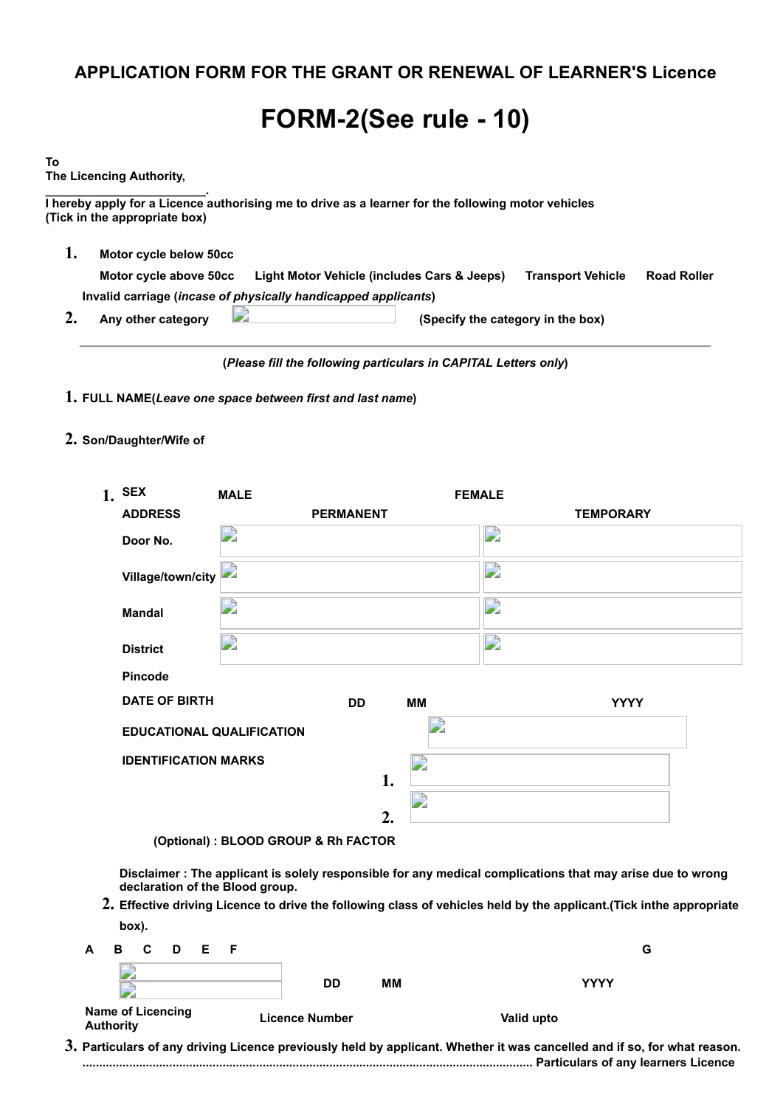## **APPLICATION FORM FOR THE GRANT OR RENEWAL OF LEARNER'S Licence**

## **FORM-2(See rule - 10)**

| To |                                                                                                                                     |  |
|----|-------------------------------------------------------------------------------------------------------------------------------------|--|
|    | The Licencing Authority,                                                                                                            |  |
|    | I hereby apply for a Licence authorising me to drive as a learner for the following motor vehicles<br>(Tick in the appropriate box) |  |
|    | Motor cycle below 50cc                                                                                                              |  |
|    | <b>Road Roller</b><br>Motor cycle above 50cc<br>Light Motor Vehicle (includes Cars & Jeeps)<br><b>Transport Vehicle</b>             |  |
|    | Invalid carriage (incase of physically handicapped applicants)                                                                      |  |
|    | Any other category<br>(Specify the category in the box)                                                                             |  |
|    |                                                                                                                                     |  |

**(***Please fill the following particulars in CAPITAL Letters only***)**

- **1. FULL NAME(***Leave one space between first and last name***)**
- **2. Son/Daughter/Wife of**

|                | $1.$ SEX                         | <b>MALE</b>      |                  | <b>FEMALE</b> |             |  |
|----------------|----------------------------------|------------------|------------------|---------------|-------------|--|
| <b>ADDRESS</b> |                                  | <b>PERMANENT</b> | <b>TEMPORARY</b> |               |             |  |
|                | Door No.                         | D                |                  | D             |             |  |
|                | Village/town/city                |                  |                  | D             |             |  |
|                | <b>Mandal</b>                    | 2                |                  | ⊇             |             |  |
|                | <b>District</b>                  | D                |                  | D             |             |  |
|                | Pincode                          |                  |                  |               |             |  |
|                | <b>DATE OF BIRTH</b>             | <b>DD</b>        | MМ               |               | <b>YYYY</b> |  |
|                | <b>EDUCATIONAL QUALIFICATION</b> |                  |                  |               |             |  |
|                | <b>IDENTIFICATION MARKS</b>      | 1.               | D                |               |             |  |
|                |                                  |                  | D                |               |             |  |
|                |                                  | $\overline{2}$ . |                  |               |             |  |

**(Optional) : BLOOD GROUP & Rh FACTOR**

**Disclaimer : The applicant is solely responsible for any medical complications that may arise due to wrong declaration of the Blood group.**

**2. Effective driving Licence to drive the following class of vehicles held by the applicant.(Tick inthe appropriate box).**

| A B C D E F                                  |                       |    | G           |
|----------------------------------------------|-----------------------|----|-------------|
|                                              | <b>DD</b>             | MМ | <b>YYYY</b> |
| <b>Name of Licencing</b><br><b>Authority</b> | <b>Licence Number</b> |    | Valid upto  |

**3. Particulars of any driving Licence previously held by applicant. Whether it was cancelled and if so, for what reason. ....................................................................................................................................... Particulars of any learners Licence**